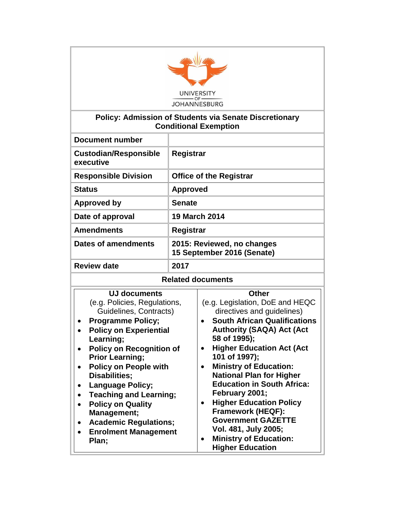

#### **Policy: Admission of Students via Senate Discretionary Conditional Exemption**

| <b>Document number</b>                                                                                                                                                                                                                                                                                                                                                                                                                                                                |                                                                                                                                                                                                                                                                                                                                                                                                                                                                                                                                                      |  |  |  |
|---------------------------------------------------------------------------------------------------------------------------------------------------------------------------------------------------------------------------------------------------------------------------------------------------------------------------------------------------------------------------------------------------------------------------------------------------------------------------------------|------------------------------------------------------------------------------------------------------------------------------------------------------------------------------------------------------------------------------------------------------------------------------------------------------------------------------------------------------------------------------------------------------------------------------------------------------------------------------------------------------------------------------------------------------|--|--|--|
| <b>Custodian/Responsible</b><br>executive                                                                                                                                                                                                                                                                                                                                                                                                                                             | Registrar                                                                                                                                                                                                                                                                                                                                                                                                                                                                                                                                            |  |  |  |
| <b>Responsible Division</b>                                                                                                                                                                                                                                                                                                                                                                                                                                                           | <b>Office of the Registrar</b>                                                                                                                                                                                                                                                                                                                                                                                                                                                                                                                       |  |  |  |
| <b>Status</b>                                                                                                                                                                                                                                                                                                                                                                                                                                                                         | <b>Approved</b>                                                                                                                                                                                                                                                                                                                                                                                                                                                                                                                                      |  |  |  |
| <b>Approved by</b>                                                                                                                                                                                                                                                                                                                                                                                                                                                                    | <b>Senate</b>                                                                                                                                                                                                                                                                                                                                                                                                                                                                                                                                        |  |  |  |
| Date of approval                                                                                                                                                                                                                                                                                                                                                                                                                                                                      | <b>19 March 2014</b>                                                                                                                                                                                                                                                                                                                                                                                                                                                                                                                                 |  |  |  |
| <b>Amendments</b>                                                                                                                                                                                                                                                                                                                                                                                                                                                                     | <b>Registrar</b>                                                                                                                                                                                                                                                                                                                                                                                                                                                                                                                                     |  |  |  |
| <b>Dates of amendments</b>                                                                                                                                                                                                                                                                                                                                                                                                                                                            | 2015: Reviewed, no changes<br>15 September 2016 (Senate)                                                                                                                                                                                                                                                                                                                                                                                                                                                                                             |  |  |  |
| <b>Review date</b>                                                                                                                                                                                                                                                                                                                                                                                                                                                                    | 2017                                                                                                                                                                                                                                                                                                                                                                                                                                                                                                                                                 |  |  |  |
| <b>Related documents</b>                                                                                                                                                                                                                                                                                                                                                                                                                                                              |                                                                                                                                                                                                                                                                                                                                                                                                                                                                                                                                                      |  |  |  |
| <b>UJ documents</b><br>(e.g. Policies, Regulations,<br>Guidelines, Contracts)<br><b>Programme Policy;</b><br><b>Policy on Experiential</b><br>Learning;<br><b>Policy on Recognition of</b><br>$\bullet$<br><b>Prior Learning;</b><br><b>Policy on People with</b><br>$\bullet$<br><b>Disabilities;</b><br><b>Language Policy;</b><br><b>Teaching and Learning;</b><br><b>Policy on Quality</b><br>Management;<br><b>Academic Regulations;</b><br><b>Enrolment Management</b><br>Plan; | <b>Other</b><br>(e.g. Legislation, DoE and HEQC<br>directives and guidelines)<br><b>South African Qualifications</b><br><b>Authority (SAQA) Act (Act</b><br>58 of 1995);<br><b>Higher Education Act (Act</b><br>101 of 1997);<br><b>Ministry of Education:</b><br>$\bullet$<br><b>National Plan for Higher</b><br><b>Education in South Africa:</b><br>February 2001;<br><b>Higher Education Policy</b><br><b>Framework (HEQF):</b><br><b>Government GAZETTE</b><br>Vol. 481, July 2005;<br><b>Ministry of Education:</b><br><b>Higher Education</b> |  |  |  |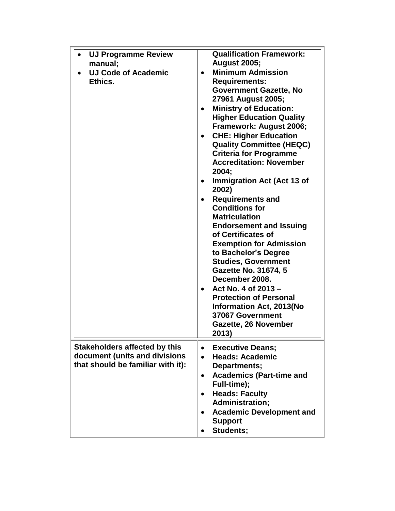| <b>UJ Programme Review</b><br>$\bullet$<br>manual;<br><b>UJ Code of Academic</b><br>Ethics.                | <b>Qualification Framework:</b><br><b>August 2005;</b><br><b>Minimum Admission</b><br><b>Requirements:</b><br><b>Government Gazette, No</b><br>27961 August 2005;<br><b>Ministry of Education:</b><br>$\bullet$<br><b>Higher Education Quality</b><br>Framework: August 2006;<br><b>CHE: Higher Education</b><br>$\bullet$<br><b>Quality Committee (HEQC)</b><br><b>Criteria for Programme</b><br><b>Accreditation: November</b><br>2004;<br><b>Immigration Act (Act 13 of</b><br>2002)<br><b>Requirements and</b><br><b>Conditions for</b><br><b>Matriculation</b><br><b>Endorsement and Issuing</b><br>of Certificates of<br><b>Exemption for Admission</b><br>to Bachelor's Degree<br><b>Studies, Government</b><br><b>Gazette No. 31674, 5</b><br>December 2008.<br>Act No. 4 of 2013 -<br>$\bullet$<br><b>Protection of Personal</b><br><b>Information Act, 2013(No</b><br>37067 Government<br>Gazette, 26 November<br>2013) |
|------------------------------------------------------------------------------------------------------------|-----------------------------------------------------------------------------------------------------------------------------------------------------------------------------------------------------------------------------------------------------------------------------------------------------------------------------------------------------------------------------------------------------------------------------------------------------------------------------------------------------------------------------------------------------------------------------------------------------------------------------------------------------------------------------------------------------------------------------------------------------------------------------------------------------------------------------------------------------------------------------------------------------------------------------------|
| <b>Stakeholders affected by this</b><br>document (units and divisions<br>that should be familiar with it): | <b>Executive Deans;</b><br>$\bullet$<br><b>Heads: Academic</b><br>Departments;<br><b>Academics (Part-time and</b><br>Full-time);<br><b>Heads: Faculty</b><br><b>Administration;</b><br><b>Academic Development and</b><br><b>Support</b><br>Students;                                                                                                                                                                                                                                                                                                                                                                                                                                                                                                                                                                                                                                                                             |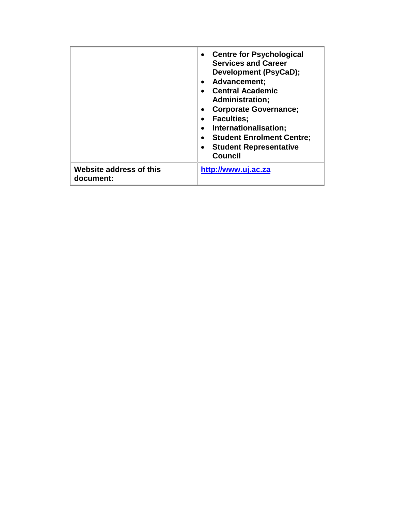|                                      | <b>Centre for Psychological</b><br><b>Services and Career</b><br>Development (PsyCaD);<br>Advancement;<br><b>Central Academic</b><br><b>Administration;</b><br><b>Corporate Governance;</b><br><b>Faculties:</b><br>Internationalisation;<br><b>Student Enrolment Centre:</b><br><b>Student Representative</b><br><b>Council</b> |
|--------------------------------------|----------------------------------------------------------------------------------------------------------------------------------------------------------------------------------------------------------------------------------------------------------------------------------------------------------------------------------|
| Website address of this<br>document: | http://www.uj.ac.za                                                                                                                                                                                                                                                                                                              |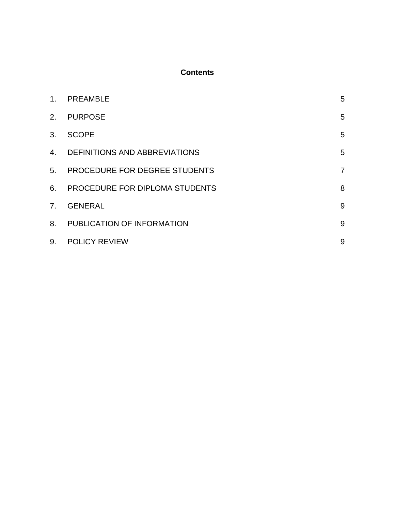# **Contents**

| 1 <sub>1</sub> | <b>PREAMBLE</b>                | 5              |
|----------------|--------------------------------|----------------|
| 2.             | <b>PURPOSE</b>                 | 5              |
| 3.             | <b>SCOPE</b>                   | 5              |
| 4.             | DEFINITIONS AND ABBREVIATIONS  | 5              |
| 5 <sub>1</sub> | PROCEDURE FOR DEGREE STUDENTS  | $\overline{7}$ |
| 6.             | PROCEDURE FOR DIPLOMA STUDENTS | 8              |
| 7 <sub>1</sub> | <b>GENERAL</b>                 | 9              |
| 8.             | PUBLICATION OF INFORMATION     | 9              |
| 9.             | <b>POLICY REVIEW</b>           | 9              |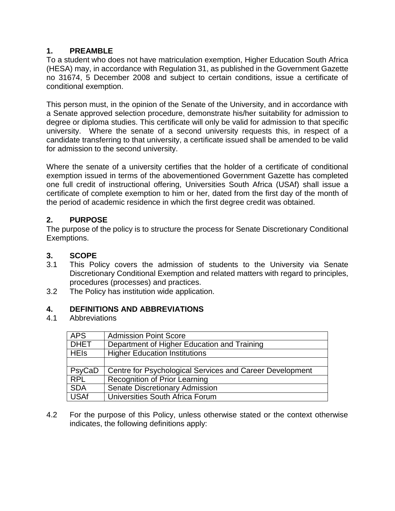### **1. PREAMBLE**

To a student who does not have matriculation exemption, Higher Education South Africa (HESA) may, in accordance with Regulation 31, as published in the Government Gazette no 31674, 5 December 2008 and subject to certain conditions, issue a certificate of conditional exemption.

This person must, in the opinion of the Senate of the University, and in accordance with a Senate approved selection procedure, demonstrate his/her suitability for admission to degree or diploma studies. This certificate will only be valid for admission to that specific university. Where the senate of a second university requests this, in respect of a candidate transferring to that university, a certificate issued shall be amended to be valid for admission to the second university.

Where the senate of a university certifies that the holder of a certificate of conditional exemption issued in terms of the abovementioned Government Gazette has completed one full credit of instructional offering, Universities South Africa (USAf) shall issue a certificate of complete exemption to him or her, dated from the first day of the month of the period of academic residence in which the first degree credit was obtained.

# **2. PURPOSE**

The purpose of the policy is to structure the process for Senate Discretionary Conditional Exemptions.

# **3. SCOPE**

- 3.1 This Policy covers the admission of students to the University via Senate Discretionary Conditional Exemption and related matters with regard to principles, procedures (processes) and practices.
- 3.2 The Policy has institution wide application.

## **4. DEFINITIONS AND ABBREVIATIONS**

4.1 Abbreviations

| <b>APS</b>  | <b>Admission Point Score</b>                             |
|-------------|----------------------------------------------------------|
| <b>DHET</b> | Department of Higher Education and Training              |
| <b>HEIS</b> | <b>Higher Education Institutions</b>                     |
|             |                                                          |
| PsyCaD      | Centre for Psychological Services and Career Development |
| <b>RPL</b>  | <b>Recognition of Prior Learning</b>                     |
| <b>SDA</b>  | <b>Senate Discretionary Admission</b>                    |
| <b>USAf</b> | Universities South Africa Forum                          |

4.2 For the purpose of this Policy, unless otherwise stated or the context otherwise indicates, the following definitions apply: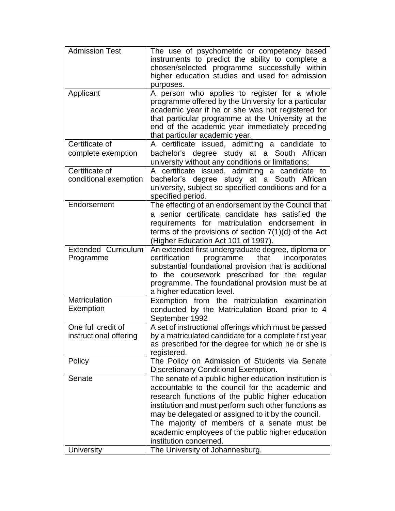| <b>Admission Test</b>      | The use of psychometric or competency based             |
|----------------------------|---------------------------------------------------------|
|                            | instruments to predict the ability to complete a        |
|                            | chosen/selected programme successfully within           |
|                            |                                                         |
|                            | higher education studies and used for admission         |
|                            | purposes.                                               |
| Applicant                  | A person who applies to register for a whole            |
|                            | programme offered by the University for a particular    |
|                            | academic year if he or she was not registered for       |
|                            | that particular programme at the University at the      |
|                            | end of the academic year immediately preceding          |
|                            | that particular academic year.                          |
| Certificate of             | A certificate issued, admitting a candidate to          |
| complete exemption         | bachelor's degree study at a South African              |
|                            | university without any conditions or limitations;       |
| Certificate of             | A certificate issued, admitting a candidate to          |
| conditional exemption      | bachelor's degree study at a South African              |
|                            | university, subject so specified conditions and for a   |
|                            | specified period.                                       |
| Endorsement                | The effecting of an endorsement by the Council that     |
|                            | a senior certificate candidate has satisfied the        |
|                            | requirements for matriculation endorsement in           |
|                            | terms of the provisions of section $7(1)(d)$ of the Act |
|                            |                                                         |
|                            | (Higher Education Act 101 of 1997).                     |
| <b>Extended Curriculum</b> | An extended first undergraduate degree, diploma or      |
| Programme                  | certification<br>programme<br>incorporates<br>that      |
|                            | substantial foundational provision that is additional   |
|                            | to the coursework prescribed for the regular            |
|                            | programme. The foundational provision must be at        |
|                            | a higher education level.                               |
| <b>Matriculation</b>       | Exemption from the matriculation examination            |
| Exemption                  | conducted by the Matriculation Board prior to 4         |
|                            | September 1992                                          |
| One full credit of         | A set of instructional offerings which must be passed   |
| instructional offering     | by a matriculated candidate for a complete first year   |
|                            | as prescribed for the degree for which he or she is     |
|                            | registered.                                             |
| Policy                     | The Policy on Admission of Students via Senate          |
|                            | <b>Discretionary Conditional Exemption.</b>             |
| Senate                     | The senate of a public higher education institution is  |
|                            | accountable to the council for the academic and         |
|                            | research functions of the public higher education       |
|                            | institution and must perform such other functions as    |
|                            | may be delegated or assigned to it by the council.      |
|                            | The majority of members of a senate must be             |
|                            |                                                         |
|                            | academic employees of the public higher education       |
|                            | institution concerned.                                  |
| University                 | The University of Johannesburg.                         |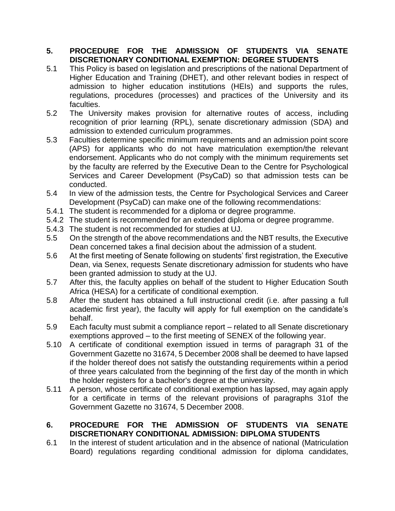### **5. PROCEDURE FOR THE ADMISSION OF STUDENTS VIA SENATE DISCRETIONARY CONDITIONAL EXEMPTION: DEGREE STUDENTS**

- 5.1 This Policy is based on legislation and prescriptions of the national Department of Higher Education and Training (DHET), and other relevant bodies in respect of admission to higher education institutions (HEIs) and supports the rules, regulations, procedures (processes) and practices of the University and its faculties.
- 5.2 The University makes provision for alternative routes of access, including recognition of prior learning (RPL), senate discretionary admission (SDA) and admission to extended curriculum programmes.
- 5.3 Faculties determine specific minimum requirements and an admission point score (APS) for applicants who do not have matriculation exemption/the relevant endorsement. Applicants who do not comply with the minimum requirements set by the faculty are referred by the Executive Dean to the Centre for Psychological Services and Career Development (PsyCaD) so that admission tests can be conducted.
- 5.4 In view of the admission tests, the Centre for Psychological Services and Career Development (PsyCaD) can make one of the following recommendations:
- 5.4.1 The student is recommended for a diploma or degree programme.
- 5.4.2 The student is recommended for an extended diploma or degree programme.
- 5.4.3 The student is not recommended for studies at UJ.
- 5.5 On the strength of the above recommendations and the NBT results, the Executive Dean concerned takes a final decision about the admission of a student.
- 5.6 At the first meeting of Senate following on students' first registration, the Executive Dean, via Senex, requests Senate discretionary admission for students who have been granted admission to study at the UJ.
- 5.7 After this, the faculty applies on behalf of the student to Higher Education South Africa (HESA) for a certificate of conditional exemption.
- 5.8 After the student has obtained a full instructional credit (i.e. after passing a full academic first year), the faculty will apply for full exemption on the candidate's behalf.
- 5.9 Each faculty must submit a compliance report related to all Senate discretionary exemptions approved – to the first meeting of SENEX of the following year.
- 5.10 A certificate of conditional exemption issued in terms of paragraph 31 of the Government Gazette no 31674, 5 December 2008 shall be deemed to have lapsed if the holder thereof does not satisfy the outstanding requirements within a period of three years calculated from the beginning of the first day of the month in which the holder registers for a bachelor's degree at the university.
- 5.11 A person, whose certificate of conditional exemption has lapsed, may again apply for a certificate in terms of the relevant provisions of paragraphs 31of the Government Gazette no 31674, 5 December 2008.

### **6. PROCEDURE FOR THE ADMISSION OF STUDENTS VIA SENATE DISCRETIONARY CONDITIONAL ADMISSION: DIPLOMA STUDENTS**

6.1 In the interest of student articulation and in the absence of national (Matriculation Board) regulations regarding conditional admission for diploma candidates,